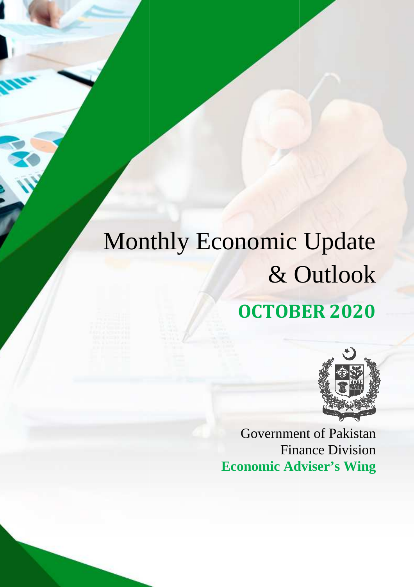# Monthly Economic Update & Outlook **OCTOBER OCTOBER 2020**



Government of Paki Pakistan Finance Division **Economic Adviser's Wing**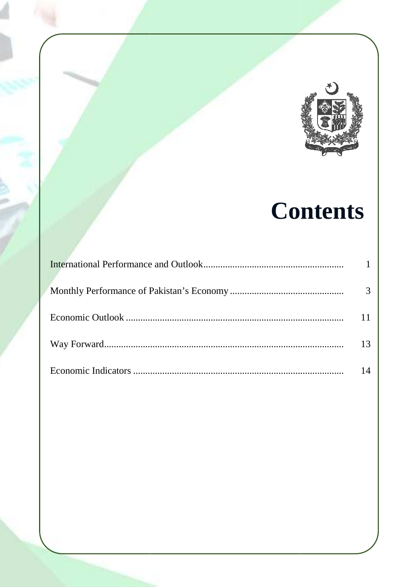

## **Contents**

| 3  |
|----|
| 11 |
| 13 |
| 14 |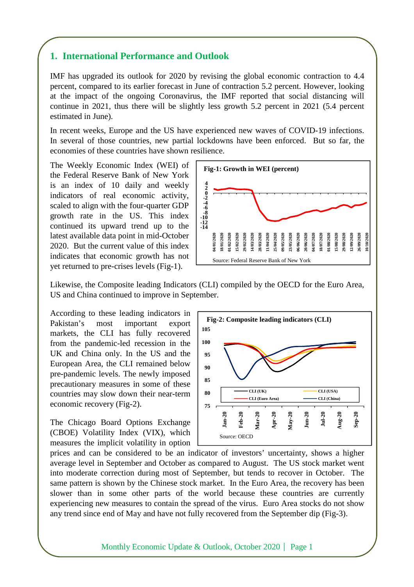## **1. International Performance and Outlook**

IMF has upgraded its outlook for 2020 by revising the global economic contraction to 4.4 percent, compared to its earlier forecast in June of contraction 5.2 percent. However, looking at the impact of the ongoing Coronavirus, the IMF reported that social distancing will continue in 2021, thus there will be slightly less growth 5.2 percent in 2021 (5.4 percent estimated in June).

In recent weeks, Europe and the US have experienced new waves of COVID-19 infections. In several of those countries, new partial lockdowns have been enforced. But so far, the economies of these countries have shown resilience.

The Weekly Economic Index (WEI) of the Federal Reserve Bank of New York is an index of 10 daily and weekly indicators of real economic activity, scaled to align with the four-quarter GDP growth rate in the US. This index continued its upward trend up to the latest available data point in mid-October 2020. But the current value of this index indicates that economic growth has not yet returned to pre-crises levels (Fig-1).



Likewise, the Composite leading Indicators (CLI) compiled by the OECD for the Euro Area, US and China continued to improve in September.

According to these leading indicators in Pakistan's most important export markets, the CLI has fully recovered from the pandemic-led recession in the UK and China only. In the US and the European Area, the CLI remained below pre-pandemic levels. The newly imposed precautionary measures in some of these countries may slow down their near-term economic recovery (Fig-2).

The Chicago Board Options Exchange (CBOE) Volatility Index (VIX), which measures the implicit volatility in option



prices and can be considered to be an indicator of investors' uncertainty, shows a higher average level in September and October as compared to August. The US stock market went into moderate correction during most of September, but tends to recover in October. The same pattern is shown by the Chinese stock market. In the Euro Area, the recovery has been slower than in some other parts of the world because these countries are currently experiencing new measures to contain the spread of the virus. Euro Area stocks do not show any trend since end of May and have not fully recovered from the September dip (Fig-3).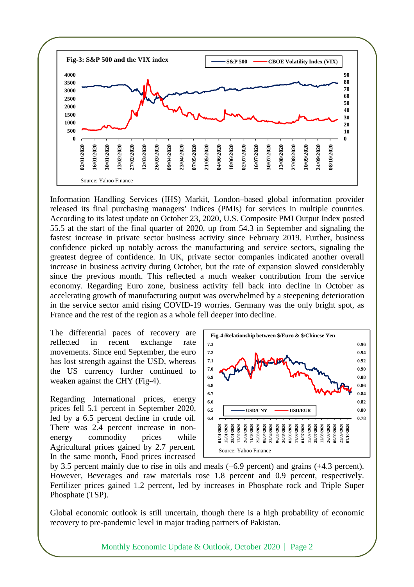

Information Handling Services (IHS) Markit, London–based global information provider released its final purchasing managers' indices (PMIs) for services in multiple countries. According to its latest update on October 23, 2020, U.S. Composite PMI Output Index posted 55.5 at the start of the final quarter of 2020, up from 54.3 in September and signaling the fastest increase in private sector business activity since February 2019. Further, business confidence picked up notably across the manufacturing and service sectors, signaling the greatest degree of confidence. In UK, private sector companies indicated another overall increase in business activity during October, but the rate of expansion slowed considerably since the previous month. This reflected a much weaker contribution from the service economy. Regarding Euro zone, business activity fell back into decline in October as accelerating growth of manufacturing output was overwhelmed by a steepening deterioration in the service sector amid rising COVID-19 worries. Germany was the only bright spot, as France and the rest of the region as a whole fell deeper into decline.

The differential paces of recovery are reflected in recent exchange rate movements. Since end September, the euro has lost strength against the USD, whereas the US currency further continued to weaken against the CHY (Fig-4).

Regarding International prices, energy prices fell 5.1 percent in September 2020, led by a 6.5 percent decline in crude oil. There was 2.4 percent increase in nonenergy commodity prices while Agricultural prices gained by 2.7 percent. In the same month, Food prices increased



by 3.5 percent mainly due to rise in oils and meals (+6.9 percent) and grains (+4.3 percent). However, Beverages and raw materials rose 1.8 percent and 0.9 percent, respectively. Fertilizer prices gained 1.2 percent, led by increases in Phosphate rock and Triple Super Phosphate (TSP).

Global economic outlook is still uncertain, though there is a high probability of economic recovery to pre-pandemic level in major trading partners of Pakistan.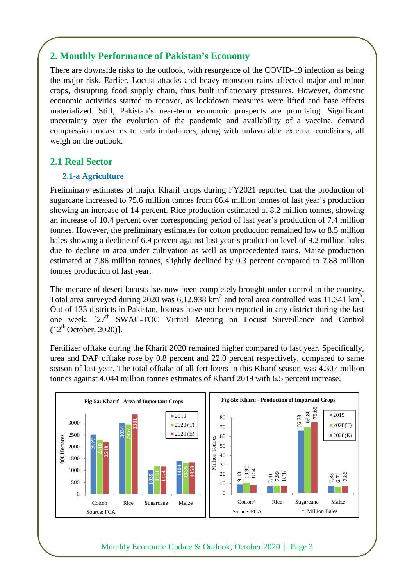## **2. Monthly Performance of Pakistan's Economy**

There are downside risks to the outlook, with resurgence of the COVID-19 infection as being the major risk. Earlier, Locust attacks and heavy monsoon rains affected major and minor crops, disrupting food supply chain, thus built inflationary pressures. However, domestic economic activities started to recover, as lockdown measures were lifted and base effects materialized. Still, Pakistan's near-term economic prospects are promising. Significant uncertainty over the evolution of the pandemic and availability of a vaccine, demand compression measures to curb imbalances, along with unfavorable external conditions, all weigh on the outlook.

## **2.1 Real Sector**

#### **2.1-a Agriculture**

Preliminary estimates of major Kharif crops during FY2021 reported that the production of sugarcane increased to 75.6 million tonnes from 66.4 million tonnes of last year's production showing an increase of 14 percent. Rice production estimated at 8.2 million tonnes, showing an increase of 10.4 percent over corresponding period of last year's production of 7.4 million tonnes. However, the preliminary estimates for cotton production remained low to 8.5 million bales showing a decline of 6.9 percent against last year's production level of 9.2 million bales due to decline in area under cultivation as well as unprecedented rains. Maize production estimated at 7.86 million tonnes, slightly declined by 0.3 percent compared to 7.88 million tonnes production of last year.

The menace of desert locusts has now been completely brought under control in the country. Total area surveyed during 2020 was  $6,12,938$  km<sup>2</sup> and total area controlled was 11,341 km<sup>2</sup>. Out of 133 districts in Pakistan, locusts have not been reported in any district during the last one week. [27<sup>th</sup> SWAC-TOC Virtual Meeting on Locust Surveillance and Control  $(12<sup>th</sup> October, 2020)$ ].

Fertilizer offtake during the Kharif 2020 remained higher compared to last year. Specifically, urea and DAP offtake rose by 0.8 percent and 22.0 percent respectively, compared to same season of last year. The total offtake of all fertilizers in this Kharif season was 4.307 million tonnes against 4.044 million tonnes estimates of Kharif 2019 with 6.5 percent increase.

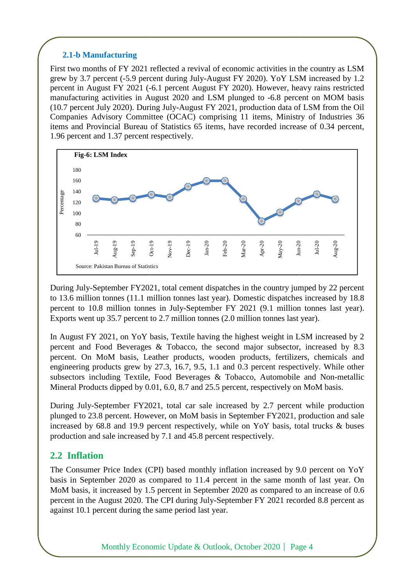#### **2.1-b Manufacturing**

First two months of FY 2021 reflected a revival of economic activities in the country as LSM grew by 3.7 percent (-5.9 percent during July-August FY 2020). YoY LSM increased by 1.2 grew by 3.7 percent (-5.9 percent during July-August FY 2020). YoY LSM increased by 1.2 percent in August FY 2021 (-6.1 percent August FY 2020). However, heavy rains restricted manufacturing activities in August 2020 and LSM plunged to -6.8 percent on MOM basis (10.7 percent July 2020). During During July-August FY 2021, production data of LSM from the Oil Companies Advisory Committee (OCAC) comprising 11 items, Ministry of Industries 36 items and Provincial Bureau of Statistics 65 items, have recorded increase of 0.34 percent, 1.96 percent and 1.37 percent respectively. 1.96 percent and 1.37 percent



During July-September FY2021, total cement dispatches in the country jumped by 22 percent to 13.6 million tonnes (11.1 million tonnes last year). Domestic dispatches increased by 18.8 percent to 10.8 million tonnes in July-September FY 2021 (9.1 million tonnes last year). Exports went up 35.7 percent to 2.7 million tonnes (2.0 million tonnes last year).

In August FY 2021, on YoY basis, Textile having the highest weight in LSM increased by 2 percent and Food Beverages & Tobacco, the second major subsector, increased by 8.3 percent. On MoM basis, Leather products, wooden products, fertilizers, chemicals and engineering products grew by 27.3, 16.7, 9.5, 1.1 and 0.3 0.3 percent respectively. While other subsectors including Textile, Food Beverages & Tobacco, Automobile and Non Non-metallic Mineral Products dipped by 0.01, 6.0, 8.7 and 25.5 percent, respectively on MoM basis.  $\begin{array}{ccc}\n\frac{1}{2} & \frac{1}{2} & \frac{1}{2} & \frac{1}{2} \\
\frac{1}{2} & \frac{1}{2} & \frac{1}{2} & \frac{1}{2} \\
\frac{1}{2} & \frac{1}{2} & \frac{1}{2} & \frac{1}{2} \\
\frac{1}{2} & \frac{1}{2} & \frac{1}{2} & \frac{1}{2} \\
\frac{1}{2} & \frac{1}{2} & \frac{1}{2} & \frac{1}{2} \\
\frac{1}{2} & \frac{1}{2} & \frac{1}{2} & \frac{1}{2} \\
\frac{1}{2} & \frac{1}{2} & \frac{1$ Fractional S<sub>R</sub><br>  $\frac{1}{2}$   $\frac{1}{2}$   $\frac{1}{2}$   $\frac{1}{2}$   $\frac{1}{2}$ <br>
y jumped by 22 percent<br>
tches increased by 18.8<br>
Ilion tonnes last year).<br>
last year).<br>
in LSM increased by 2<br>
ctor, increased by 8.3<br>
ilizers, chemicals

During July-September FY2021, total car sale increased by 2.7 percent while production plunged to 23.8 percent. However, on MoM basis in September FY2021, production and sale increased by  $68.8$  and 19.9 percent respectively, while on YoY basis, total trucks  $\&$  buses production and sale increased by 7.1 and 45.8 percent respectively. increased by 68.8 and 19.9 percent respectively, while on YoY basis, total trucks & buses<br>production and sale increased by 7.1 and 45.8 percent respectively.<br>**2.2 Inflation**<br>The Consumer Price Index (CPI) based monthly inf

## **2.2 Inflation**

basis in September 2020 as compared to 11.4 percent in the same month of last year. On MoM basis, it increased by 1.5 percent in September 2020 as compared to an increase of 0.6 percent in the August 2020. The CPI during July-September FY 2021 recorded against 10.1 percent during the same period last year.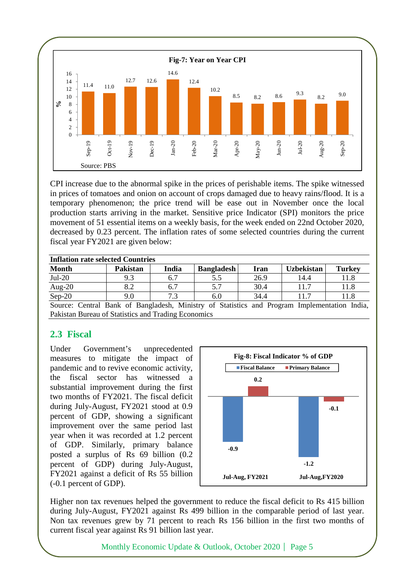

CPI increase due to the abnormal spike in the prices of perishable items. The spike witnessed in prices of tomatoes and onion on account of crops damaged due to heavy rains/flood. It is a temporary phenomenon; the price trend will be ease out in November once the local production starts arriving in the market. Sensitive price Indicator (SPI) monitors the price movement of 51 essential items on a weekly basis, for the week ended on 22nd October 2020, decreased by 0.23 percent. The inflation rates of some selected countries during the current fiscal year FY2021 are given below:

| <b>Inflation rate selected Countries</b> |                    |       |                      |      |                   |               |
|------------------------------------------|--------------------|-------|----------------------|------|-------------------|---------------|
| <b>Month</b>                             | <b>Pakistan</b>    | India | <b>Bangladesh</b>    | Iran | <b>Uzbekistan</b> | <b>Turkey</b> |
| $Jul-20$                                 | 9.3                | 6.7   |                      | 26.9 | 14.4              | 11.8          |
| Aug-20                                   | 8.2                | 6.7   |                      | 30.4 |                   | 11.8          |
| $Sep-20$                                 | 9.0                | 7.3   | 6.0                  | 34.4 |                   | 11.8          |
| $\sim$<br>$\sim$                         | $\sim$ $\sim$<br>. | .     | $\sim$ $\sim$<br>. . | - -  |                   | $ -$          |

Source: Central Bank of Bangladesh, Ministry of Statistics and Program Implementation India, Pakistan Bureau of Statistics and Trading Economics

## **2.3 Fiscal**

Under Government's unprecedented measures to mitigate the impact of pandemic and to revive economic activity, the fiscal sector has witnessed a substantial improvement during the first two months of FY2021. The fiscal deficit during July-August, FY2021 stood at 0.9 percent of GDP, showing a significant improvement over the same period last year when it was recorded at 1.2 percent of GDP. Similarly, primary balance posted a surplus of Rs 69 billion (0.2 percent of GDP) during July-August, FY2021 against a deficit of Rs 55 billion (-0.1 percent of GDP).



Higher non tax revenues helped the government to reduce the fiscal deficit to Rs 415 billion during July-August, FY2021 against Rs 499 billion in the comparable period of last year. Non tax revenues grew by 71 percent to reach Rs 156 billion in the first two months of current fiscal year against Rs 91 billion last year.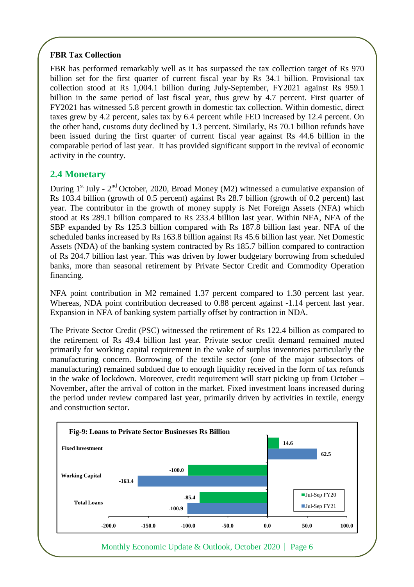### **FBR Tax Collection**

FBR has performed remarkably well as it has surpassed the tax collection target of Rs 970 billion set for the first quarter of current fiscal year by Rs 34.1 billion. Provisional tax collection stood at Rs 1,004.1 billion during July-September, FY2021 against Rs 959.1 billion in the same period of last fiscal year, thus grew by 4.7 percent. First quarter of FY2021 has witnessed 5.8 percent growth in domestic tax collection. Within domestic, direct taxes grew by 4.2 percent, sales tax by 6.4 percent while FED increased by 12.4 percent. On the other hand, customs duty declined by 1.3 percent. Similarly, Rs 70.1 billion refunds have been issued during the first quarter of current fiscal year against Rs 44.6 billion in the comparable period of last year. It has provided significant support in the revival of economic activity in the country.

## **2.4 Monetary**

During  $1<sup>st</sup>$  July -  $2<sup>nd</sup>$  October, 2020, Broad Money (M2) witnessed a cumulative expansion of Rs 103.4 billion (growth of 0.5 percent) against Rs 28.7 billion (growth of 0.2 percent) last year. The contributor in the growth of money supply is Net Foreign Assets (NFA) which stood at Rs 289.1 billion compared to Rs 233.4 billion last year. Within NFA, NFA of the SBP expanded by Rs 125.3 billion compared with Rs 187.8 billion last year. NFA of the scheduled banks increased by Rs 163.8 billion against Rs 45.6 billion last year. Net Domestic Assets (NDA) of the banking system contracted by Rs 185.7 billion compared to contraction of Rs 204.7 billion last year. This was driven by lower budgetary borrowing from scheduled banks, more than seasonal retirement by Private Sector Credit and Commodity Operation financing.

NFA point contribution in M2 remained 1.37 percent compared to 1.30 percent last year. Whereas, NDA point contribution decreased to 0.88 percent against -1.14 percent last year. Expansion in NFA of banking system partially offset by contraction in NDA.

The Private Sector Credit (PSC) witnessed the retirement of Rs 122.4 billion as compared to the retirement of Rs 49.4 billion last year. Private sector credit demand remained muted primarily for working capital requirement in the wake of surplus inventories particularly the manufacturing concern. Borrowing of the textile sector (one of the major subsectors of manufacturing) remained subdued due to enough liquidity received in the form of tax refunds in the wake of lockdown. Moreover, credit requirement will start picking up from October – November, after the arrival of cotton in the market. Fixed investment loans increased during the period under review compared last year, primarily driven by activities in textile, energy and construction sector.

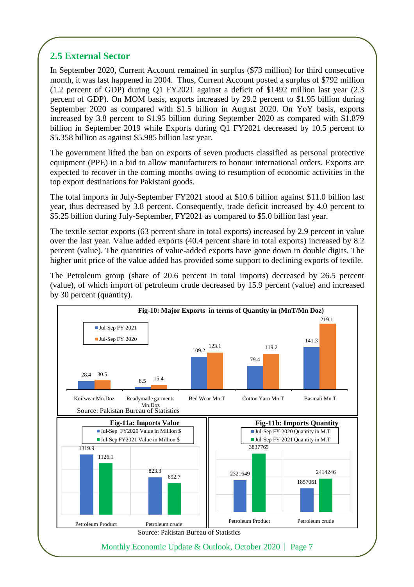## **2.5 External Sector**

In September 2020, Current Account remained in surplus (\$73 million) for third consecutive month, it was last happened in 2004. Thus, Current Account posted a surplus of \$792 million (1.2 percent of GDP) during Q1 FY2021 against a deficit of \$1492 million last year (2.3 percent of GDP). On MOM basis, exports increased by 29.2 percent to \$1.95 billion during September 2020 as compared with \$1.5 billion in August 2020. On YoY basis, exports increased by 3.8 percent to \$1.95 billion during September 2020 as compared with \$1.879 billion in September 2019 while Exports during Q1 FY2021 decreased by 10.5 percent to \$5.358 billion as against \$5.985 billion last year.

The government lifted the ban on exports of seven products classified as personal protective equipment (PPE) in a bid to allow manufacturers to honour international orders. Exports are expected to recover in the coming months owing to resumption of economic activities in the top export destinations for Pakistani goods.

The total imports in July-September FY2021 stood at \$10.6 billion against \$11.0 billion last year, thus decreased by 3.8 percent. Consequently, trade deficit increased by 4.0 percent to \$5.25 billion during July-September, FY2021 as compared to \$5.0 billion last year.

The textile sector exports (63 percent share in total exports) increased by 2.9 percent in value over the last year. Value added exports (40.4 percent share in total exports) increased by 8.2 percent (value). The quantities of value-added exports have gone down in double digits. The higher unit price of the value added has provided some support to declining exports of textile.

The Petroleum group (share of 20.6 percent in total imports) decreased by 26.5 percent (value), of which import of petroleum crude decreased by 15.9 percent (value) and increased by 30 percent (quantity).

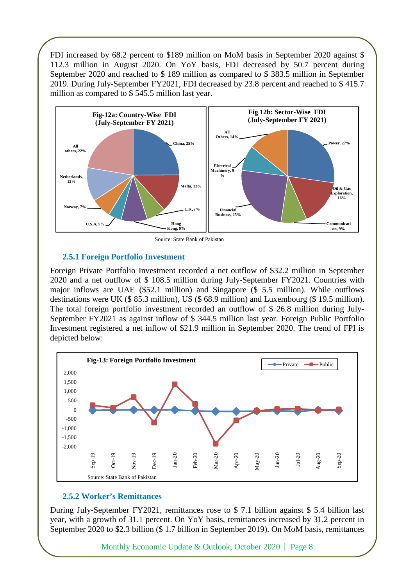FDI increased by 68.2 percent to \$189 million on MoM basis in September 2020 against \$ 112.3 million in August 2020. On YoY basis, FDI decreased by 50.7 percent during September 2020 and reached to \$ 189 million as compared to \$ 383.5 million in September 2019. During July-September FY2021, FDI decreased by 23.8 percent and reached to \$ 415.7 million as compared to \$545.5 million last year.



#### **2.5.1 Foreign Portfolio Investment**

Foreign Private Portfolio Investment recorded a net outflow of \$32.2 million in September 2020 and a net outflow of \$ 108.5 million during July-September FY2021. Countries with major inflows are UAE (\$52.1 million) and Singapore (\$ 5.5 million). While outflows destinations were UK (\$ 85.3 million), US (\$ 68.9 million) and Luxembourg (\$ 19.5 million). The total foreign portfolio investment recorded an outflow of \$ 26.8 million during July-September FY2021 as against inflow of \$ 344.5 million last year. Foreign Public Portfolio Investment registered a net inflow of \$21.9 million in September 2020. The trend of FPI is depicted below:



#### **2.5.2 Worker's Remittances**

During July-September FY2021, remittances rose to \$ 7.1 billion against \$ 5.4 billion last year, with a growth of 31.1 percent. On YoY basis, remittances increased by 31.2 percent in September 2020 to \$2.3 billion (\$ 1.7 billion in September 2019). On MoM basis, remittances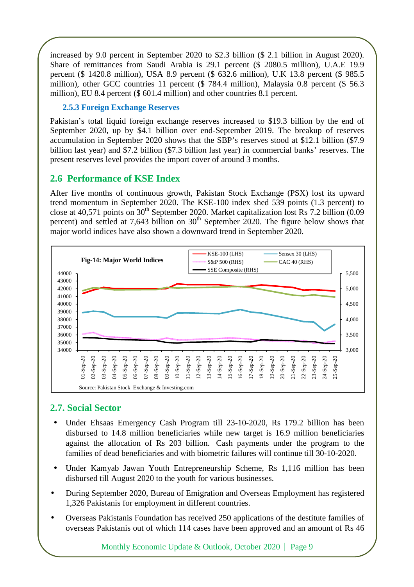increased by 9.0 percent in September 2020 to \$2.3 billion (\$ 2.1 billion in August 2020). Share of remittances from Saudi Arabia is 29.1 percent (\$ 2080.5 million), U.A.E 19.9 percent (\$ 1420.8 million), USA 8.9 percent (\$ 632.6 million), U.K 13.8 percent (\$ 985.5 million), other GCC countries 11 percent (\$ 784.4 million), Malaysia 0.8 percent (\$ 56.3 million), EU 8.4 percent (\$ 601.4 million) and other countries 8.1 percent.

## **2.5.3 Foreign Exchange Reserves**

Pakistan's total liquid foreign exchange reserves increased to \$19.3 billion by the end of September 2020, up by \$4.1 billion over end-September 2019. The breakup of reserves accumulation in September 2020 shows that the SBP's reserves stood at \$12.1 billion (\$7.9 billion last year) and \$7.2 billion (\$7.3 billion last year) in commercial banks' reserves. The present reserves level provides the import cover of around 3 months.

## **2.6 Performance of KSE Index**

After five months of continuous growth, Pakistan Stock Exchange (PSX) lost its upward trend momentum in September 2020. The KSE-100 index shed 539 points (1.3 percent) to close at 40,571 points on  $30<sup>th</sup>$  September 2020. Market capitalization lost Rs 7.2 billion (0.09 percent) and settled at 7,643 billion on  $30<sup>th</sup>$  September 2020. The figure below shows that major world indices have also shown a downward trend in September 2020.



## **2.7. Social Sector**

- Under Ehsaas Emergency Cash Program till 23-10-2020, Rs 179.2 billion has been disbursed to 14.8 million beneficiaries while new target is 16.9 million beneficiaries against the allocation of Rs 203 billion. Cash payments under the program to the families of dead beneficiaries and with biometric failures will continue till 30-10-2020.
- Under Kamyab Jawan Youth Entrepreneurship Scheme, Rs 1,116 million has been disbursed till August 2020 to the youth for various businesses.
- During September 2020, Bureau of Emigration and Overseas Employment has registered 1,326 Pakistanis for employment in different countries.
- Overseas Pakistanis Foundation has received 250 applications of the destitute families of overseas Pakistanis out of which 114 cases have been approved and an amount of Rs 46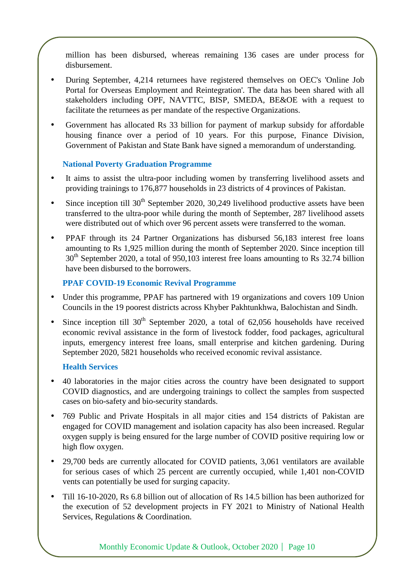million has been disbursed, whereas remaining 136 cases are under process for disbursement.

- During September, 4,214 returnees have registered themselves on OEC's 'Online Job Portal for Overseas Employment and Reintegration'. The data has been shared with all stakeholders including OPF, NAVTTC, BISP, SMEDA, BE&OE with a request to facilitate the returnees as per mandate of the respective Organizations.
- Government has allocated Rs 33 billion for payment of markup subsidy for affordable housing finance over a period of 10 years. For this purpose, Finance Division, Government of Pakistan and State Bank have signed a memorandum of understanding.

#### **National Poverty Graduation Programme**

- It aims to assist the ultra-poor including women by transferring livelihood assets and providing trainings to 176,877 households in 23 districts of 4 provinces of Pakistan.
- Since inception till  $30<sup>th</sup>$  September 2020, 30,249 livelihood productive assets have been transferred to the ultra-poor while during the month of September, 287 livelihood assets were distributed out of which over 96 percent assets were transferred to the woman.
- PPAF through its 24 Partner Organizations has disbursed 56,183 interest free loans amounting to Rs 1,925 million during the month of September 2020. Since inception till 30<sup>th</sup> September 2020, a total of 950,103 interest free loans amounting to Rs 32.74 billion have been disbursed to the borrowers.

### **PPAF COVID-19 Economic Revival Programme**

- Under this programme, PPAF has partnered with 19 organizations and covers 109 Union Councils in the 19 poorest districts across Khyber Pakhtunkhwa, Balochistan and Sindh.
- Since inception till  $30<sup>th</sup>$  September 2020, a total of 62,056 households have received economic revival assistance in the form of livestock fodder, food packages, agricultural inputs, emergency interest free loans, small enterprise and kitchen gardening. During September 2020, 5821 households who received economic revival assistance.

### **Health Services**

- 40 laboratories in the major cities across the country have been designated to support COVID diagnostics, and are undergoing trainings to collect the samples from suspected cases on bio-safety and bio-security standards.
- 769 Public and Private Hospitals in all major cities and 154 districts of Pakistan are engaged for COVID management and isolation capacity has also been increased. Regular oxygen supply is being ensured for the large number of COVID positive requiring low or high flow oxygen.
- 29,700 beds are currently allocated for COVID patients, 3,061 ventilators are available for serious cases of which 25 percent are currently occupied, while 1,401 non-COVID vents can potentially be used for surging capacity.
- Till 16-10-2020, Rs 6.8 billion out of allocation of Rs 14.5 billion has been authorized for the execution of 52 development projects in FY 2021 to Ministry of National Health Services, Regulations & Coordination.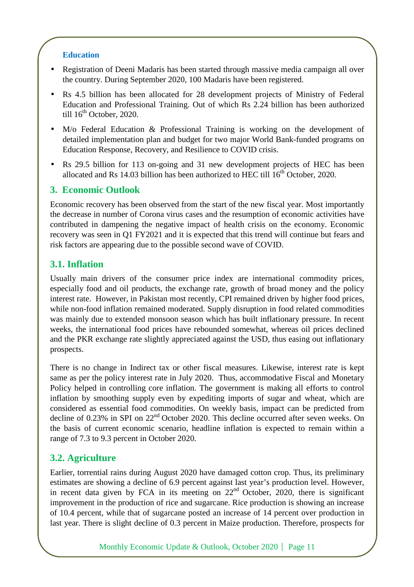#### **Education**

- Registration of Deeni Madaris has been started through massive media campaign all over the country. During September 2020, 100 Madaris have been registered.
- Rs 4.5 billion has been allocated for 28 development projects of Ministry of Federal Education and Professional Training. Out of which Rs 2.24 billion has been authorized till  $16<sup>th</sup>$  October, 2020.
- M/o Federal Education & Professional Training is working on the development of detailed implementation plan and budget for two major World Bank-funded programs on Education Response, Recovery, and Resilience to COVID crisis.
- Rs 29.5 billion for 113 on-going and 31 new development projects of HEC has been allocated and Rs 14.03 billion has been authorized to HEC till  $16<sup>th</sup>$  October, 2020.

## **3. Economic Outlook**

Economic recovery has been observed from the start of the new fiscal year. Most importantly the decrease in number of Corona virus cases and the resumption of economic activities have contributed in dampening the negative impact of health crisis on the economy. Economic recovery was seen in Q1 FY2021 and it is expected that this trend will continue but fears and risk factors are appearing due to the possible second wave of COVID.

## **3.1. Inflation**

Usually main drivers of the consumer price index are international commodity prices, especially food and oil products, the exchange rate, growth of broad money and the policy interest rate. However, in Pakistan most recently, CPI remained driven by higher food prices, while non-food inflation remained moderated. Supply disruption in food related commodities was mainly due to extended monsoon season which has built inflationary pressure. In recent weeks, the international food prices have rebounded somewhat, whereas oil prices declined and the PKR exchange rate slightly appreciated against the USD, thus easing out inflationary prospects.

There is no change in Indirect tax or other fiscal measures. Likewise, interest rate is kept same as per the policy interest rate in July 2020. Thus, accommodative Fiscal and Monetary Policy helped in controlling core inflation. The government is making all efforts to control inflation by smoothing supply even by expediting imports of sugar and wheat, which are considered as essential food commodities. On weekly basis, impact can be predicted from decline of 0.23% in SPI on 22<sup>nd</sup> October 2020. This decline occurred after seven weeks. On the basis of current economic scenario, headline inflation is expected to remain within a range of 7.3 to 9.3 percent in October 2020.

## **3.2. Agriculture**

Earlier, torrential rains during August 2020 have damaged cotton crop. Thus, its preliminary estimates are showing a decline of 6.9 percent against last year's production level. However, in recent data given by FCA in its meeting on  $22<sup>nd</sup>$  October, 2020, there is significant improvement in the production of rice and sugarcane. Rice production is showing an increase of 10.4 percent, while that of sugarcane posted an increase of 14 percent over production in last year. There is slight decline of 0.3 percent in Maize production. Therefore, prospects for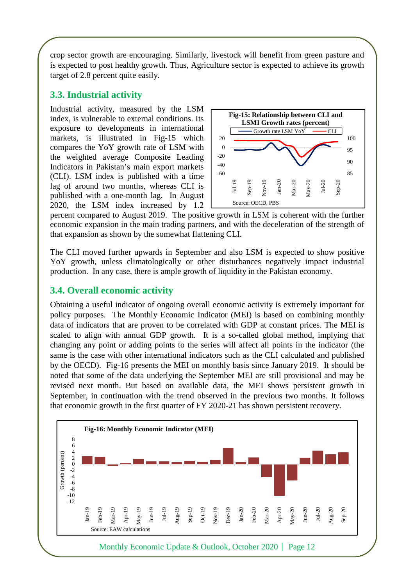crop sector growth are encouraging. Similarly, livestock will benefit from green pasture and is expected to post healthy growth. Thus, Agriculture sector is expected to achieve its growth target of 2.8 percent quite easily.

## **3.3. Industrial activity**

Industrial activity, measured by the LSM index, is vulnerable to external conditions. Its exposure to developments in international markets, is illustrated in Fig-15 which compares the YoY growth rate of LSM with the weighted average Composite Leading Indicators in Pakistan's main export markets (CLI). LSM index is published with a time lag of around two months, whereas CLI is published with a one-month lag. In August 2020, the LSM index increased by 1.2



percent compared to August 2019. The positive growth in LSM is coherent with the further economic expansion in the main trading partners, and with the deceleration of the strength of that expansion as shown by the somewhat flattening CLI.

The CLI moved further upwards in September and also LSM is expected to show positive YoY growth, unless climatologically or other disturbances negatively impact industrial production. In any case, there is ample growth of liquidity in the Pakistan economy.

## **3.4. Overall economic activity**

Obtaining a useful indicator of ongoing overall economic activity is extremely important for policy purposes. The Monthly Economic Indicator (MEI) is based on combining monthly data of indicators that are proven to be correlated with GDP at constant prices. The MEI is scaled to align with annual GDP growth. It is a so-called global method, implying that changing any point or adding points to the series will affect all points in the indicator (the same is the case with other international indicators such as the CLI calculated and published by the OECD). Fig-16 presents the MEI on monthly basis since January 2019. It should be noted that some of the data underlying the September MEI are still provisional and may be revised next month. But based on available data, the MEI shows persistent growth in September, in continuation with the trend observed in the previous two months. It follows that economic growth in the first quarter of FY 2020-21 has shown persistent recovery.

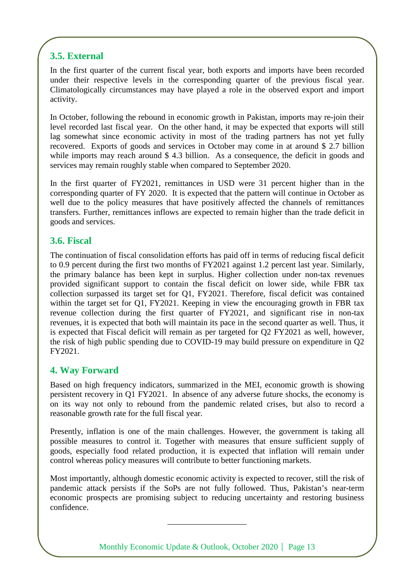## **3.5. External**

In the first quarter of the current fiscal year, both exports and imports have been recorded under their respective levels in the corresponding quarter of the previous fiscal year. Climatologically circumstances may have played a role in the observed export and import activity.

In October, following the rebound in economic growth in Pakistan, imports may re-join their level recorded last fiscal year. On the other hand, it may be expected that exports will still lag somewhat since economic activity in most of the trading partners has not yet fully recovered. Exports of goods and services in October may come in at around \$ 2.7 billion while imports may reach around \$4.3 billion. As a consequence, the deficit in goods and services may remain roughly stable when compared to September 2020.

In the first quarter of FY2021, remittances in USD were 31 percent higher than in the corresponding quarter of FY 2020. It is expected that the pattern will continue in October as well due to the policy measures that have positively affected the channels of remittances transfers. Further, remittances inflows are expected to remain higher than the trade deficit in goods and services.

## **3.6. Fiscal**

The continuation of fiscal consolidation efforts has paid off in terms of reducing fiscal deficit to 0.9 percent during the first two months of FY2021 against 1.2 percent last year. Similarly, the primary balance has been kept in surplus. Higher collection under non-tax revenues provided significant support to contain the fiscal deficit on lower side, while FBR tax collection surpassed its target set for Q1, FY2021. Therefore, fiscal deficit was contained within the target set for Q1, FY2021. Keeping in view the encouraging growth in FBR tax revenue collection during the first quarter of FY2021, and significant rise in non-tax revenues, it is expected that both will maintain its pace in the second quarter as well. Thus, it is expected that Fiscal deficit will remain as per targeted for Q2 FY2021 as well, however, the risk of high public spending due to COVID-19 may build pressure on expenditure in Q2 FY2021.

## **4. Way Forward**

Based on high frequency indicators, summarized in the MEI, economic growth is showing persistent recovery in Q1 FY2021. In absence of any adverse future shocks, the economy is on its way not only to rebound from the pandemic related crises, but also to record a reasonable growth rate for the full fiscal year.

Presently, inflation is one of the main challenges. However, the government is taking all possible measures to control it. Together with measures that ensure sufficient supply of goods, especially food related production, it is expected that inflation will remain under control whereas policy measures will contribute to better functioning markets.

Most importantly, although domestic economic activity is expected to recover, still the risk of pandemic attack persists if the SoPs are not fully followed. Thus, Pakistan's near-term economic prospects are promising subject to reducing uncertainty and restoring business confidence.

Monthly Economic Update & Outlook, October 2020 | Page 13

\_\_\_\_\_\_\_\_\_\_\_\_\_\_\_\_\_\_\_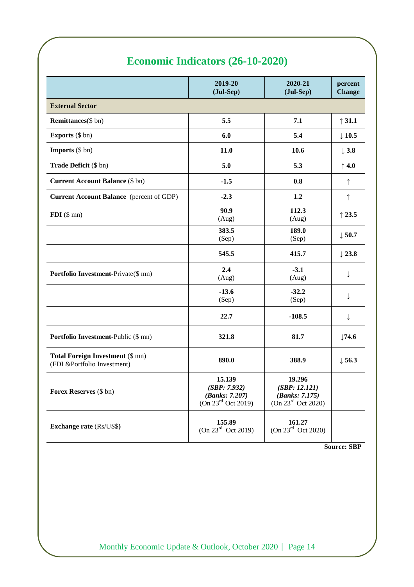## **Economic Indicators (26-10-2020)**

|                                                                        | 2019-20<br>(Jul-Sep)                                                       | 2020-21<br>(Jul-Sep)                                                        | percent<br><b>Change</b> |
|------------------------------------------------------------------------|----------------------------------------------------------------------------|-----------------------------------------------------------------------------|--------------------------|
| <b>External Sector</b>                                                 |                                                                            |                                                                             |                          |
| <b>Remittances</b> (\$ bn)                                             | 5.5                                                                        | 7.1                                                                         | $\uparrow$ 31.1          |
| <b>Exports</b> (\$ bn)                                                 | 6.0                                                                        | 5.4                                                                         | $\downarrow$ 10.5        |
| <b>Imports</b> $(\$ bn)$                                               | 11.0                                                                       | 10.6                                                                        | $\downarrow$ 3.8         |
| Trade Deficit (\$ bn)                                                  | 5.0                                                                        | 5.3                                                                         | $\uparrow$ 4.0           |
| <b>Current Account Balance (\$ bn)</b>                                 | $-1.5$                                                                     | 0.8                                                                         | ↑                        |
| Current Account Balance (percent of GDP)                               | $-2.3$                                                                     | 1.2                                                                         | ↑                        |
| $FDI$ (\$ mn)                                                          | 90.9<br>(Aug)                                                              | 112.3<br>(Aug)                                                              | $\uparrow$ 23.5          |
|                                                                        | 383.5<br>(Sep)                                                             | 189.0<br>(Sep)                                                              | $\downarrow$ 50.7        |
|                                                                        | 545.5                                                                      | 415.7                                                                       | $\downarrow$ 23.8        |
| Portfolio Investment-Private(\$ mn)                                    | 2.4<br>(Aug)                                                               | $-3.1$<br>(Aug)                                                             | ↓                        |
|                                                                        | $-13.6$<br>(Sep)                                                           | $-32.2$<br>(Sep)                                                            | ↓                        |
|                                                                        | 22.7                                                                       | $-108.5$                                                                    | ↓                        |
| Portfolio Investment-Public (\$ mn)                                    | 321.8                                                                      | 81.7                                                                        | $\downarrow$ 74.6        |
| <b>Total Foreign Investment (\$ mn)</b><br>(FDI &Portfolio Investment) | 890.0                                                                      | 388.9                                                                       | $\downarrow$ 56.3        |
| Forex Reserves (\$ bn)                                                 | 15.139<br>(SBP: 7.932)<br>(Banks: 7.207)<br>(On 23 <sup>rd</sup> Oct 2019) | 19.296<br>(SBP: 12.121)<br>(Banks: 7.175)<br>(On 23 <sup>rd</sup> Oct 2020) |                          |
| <b>Exchange rate (Rs/US\$)</b>                                         | 155.89<br>(On 23 <sup>rd</sup> Oct 2019)                                   | 161.27<br>(On 23 <sup>rd</sup> Oct 2020)                                    |                          |

**Source: SBP**